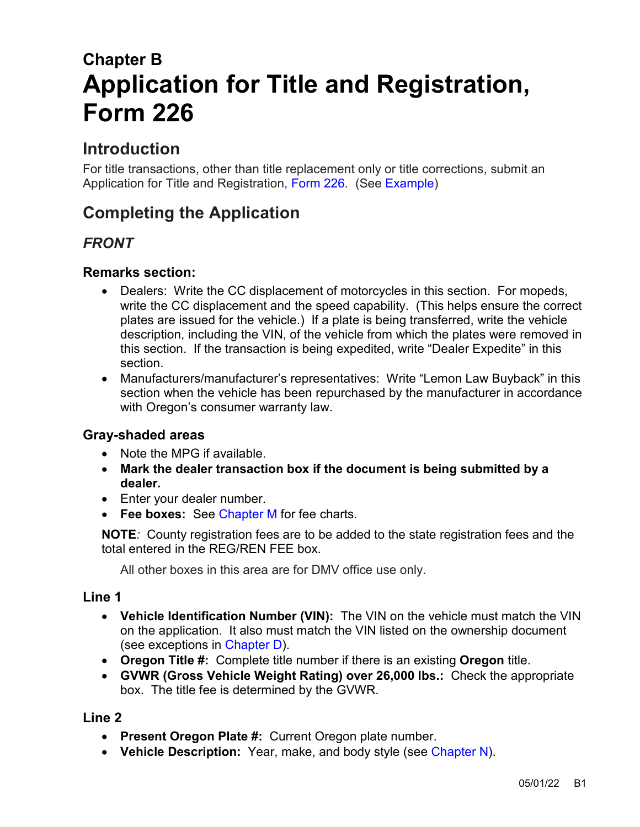# **Chapter B Application for Title and Registration, Form 226**

# **Introduction**

For title transactions, other than title replacement only or title corrections, submit an Application for Title and Registration, [Form 226](https://www.odot.state.or.us/forms/dmv/226fill.pdf)*.* (See [Example\)](#page-5-0)

# **Completing the Application**

# *FRONT*

# **Remarks section:**

- Dealers: Write the CC displacement of motorcycles in this section. For mopeds, write the CC displacement and the speed capability. (This helps ensure the correct plates are issued for the vehicle.) If a plate is being transferred, write the vehicle description, including the VIN, of the vehicle from which the plates were removed in this section. If the transaction is being expedited, write "Dealer Expedite" in this section.
- Manufacturers/manufacturer's representatives: Write "Lemon Law Buyback" in this section when the vehicle has been repurchased by the manufacturer in accordance with Oregon's consumer warranty law.

# **Gray-shaded areas**

- Note the MPG if available.
- **Mark the dealer transaction box if the document is being submitted by a dealer.**
- Enter your dealer number.
- **Fee boxes:** See [Chapter M](https://www.oregon.gov/ODOT/DMV/docs/VTRH/Chapter_M.pdf) for fee charts*.*

**NOTE***:* County registration fees are to be added to the state registration fees and the total entered in the REG/REN FEE box.

All other boxes in this area are for DMV office use only.

#### **Line 1**

- **Vehicle Identification Number (VIN):** The VIN on the vehicle must match the VIN on the application. It also must match the VIN listed on the ownership document (see exceptions in [Chapter D\)](https://www.oregon.gov/ODOT/DMV/docs/VTRH/Chapter_D.pdf).
- **Oregon Title #:** Complete title number if there is an existing **Oregon** title.
- **GVWR (Gross Vehicle Weight Rating) over 26,000 lbs.:** Check the appropriate box. The title fee is determined by the GVWR.

- **Present Oregon Plate #:** Current Oregon plate number.
- **Vehicle Description:** Year, make, and body style (see [Chapter N\)](https://www.oregon.gov/ODOT/DMV/docs/VTRH/Chapter_N.pdf).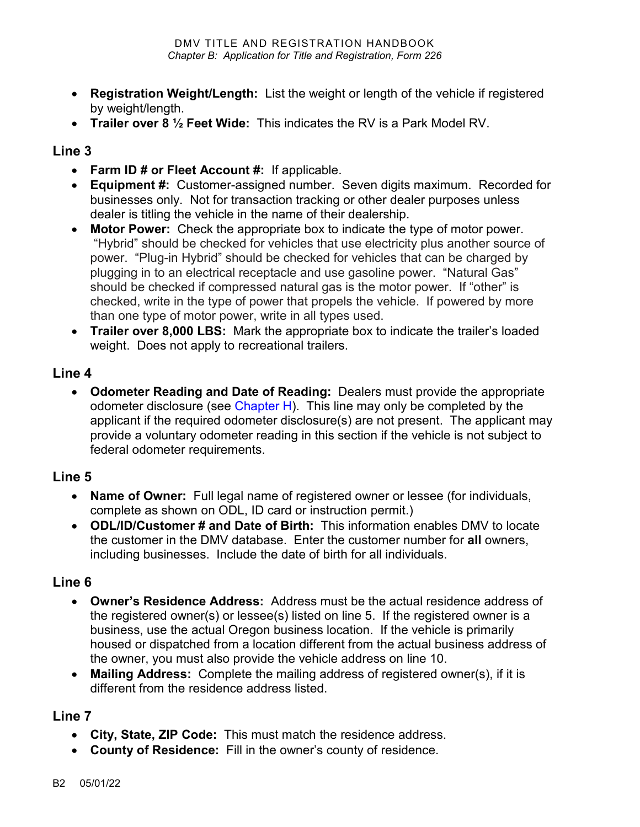- **Registration Weight/Length:** List the weight or length of the vehicle if registered by weight/length.
- **Trailer over 8 ½ Feet Wide:** This indicates the RV is a Park Model RV.

#### **Line 3**

- **Farm ID # or Fleet Account #:** If applicable.
- **Equipment #:** Customer-assigned number. Seven digits maximum. Recorded for businesses only. Not for transaction tracking or other dealer purposes unless dealer is titling the vehicle in the name of their dealership.
- **Motor Power:** Check the appropriate box to indicate the type of motor power. "Hybrid" should be checked for vehicles that use electricity plus another source of power. "Plug-in Hybrid" should be checked for vehicles that can be charged by plugging in to an electrical receptacle and use gasoline power. "Natural Gas" should be checked if compressed natural gas is the motor power. If "other" is checked, write in the type of power that propels the vehicle. If powered by more than one type of motor power, write in all types used.
- **Trailer over 8,000 LBS:** Mark the appropriate box to indicate the trailer's loaded weight. Does not apply to recreational trailers.

#### **Line 4**

• **Odometer Reading and Date of Reading:** Dealers must provide the appropriate odometer disclosure (see [Chapter H\)](https://www.oregon.gov/ODOT/DMV/docs/VTRH/Chapter_H.pdf). This line may only be completed by the applicant if the required odometer disclosure(s) are not present. The applicant may provide a voluntary odometer reading in this section if the vehicle is not subject to federal odometer requirements.

# **Line 5**

- **Name of Owner:** Full legal name of registered owner or lessee (for individuals, complete as shown on ODL, ID card or instruction permit.)
- **ODL/ID/Customer # and Date of Birth:** This information enables DMV to locate the customer in the DMV database. Enter the customer number for **all** owners, including businesses. Include the date of birth for all individuals.

# **Line 6**

- **Owner's Residence Address:** Address must be the actual residence address of the registered owner(s) or lessee(s) listed on line 5. If the registered owner is a business, use the actual Oregon business location. If the vehicle is primarily housed or dispatched from a location different from the actual business address of the owner, you must also provide the vehicle address on line 10.
- **Mailing Address:** Complete the mailing address of registered owner(s), if it is different from the residence address listed.

- **City, State, ZIP Code:** This must match the residence address.
- **County of Residence:** Fill in the owner's county of residence.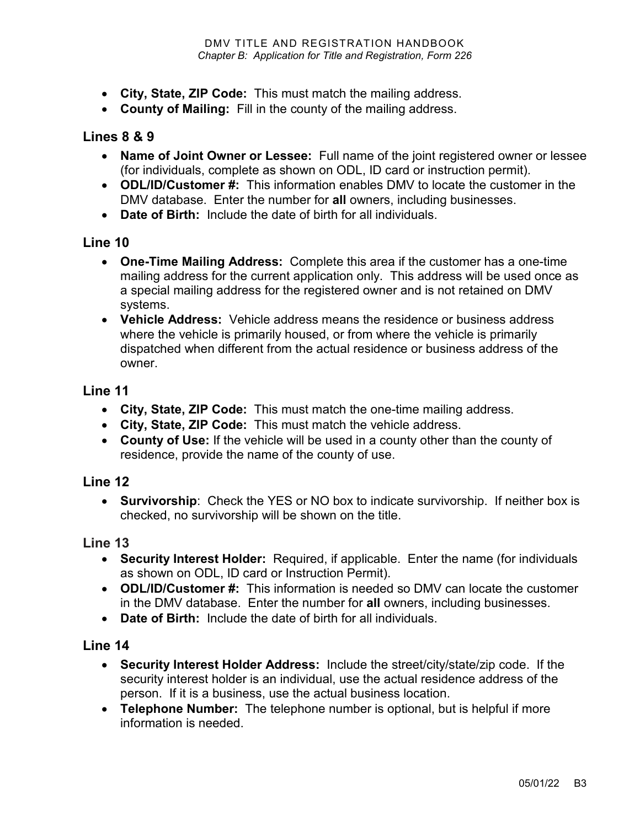- **City, State, ZIP Code:** This must match the mailing address.
- **County of Mailing:** Fill in the county of the mailing address.

#### **Lines 8 & 9**

- **Name of Joint Owner or Lessee:** Full name of the joint registered owner or lessee (for individuals, complete as shown on ODL, ID card or instruction permit).
- **ODL/ID/Customer #:** This information enables DMV to locate the customer in the DMV database. Enter the number for **all** owners, including businesses.
- **Date of Birth:** Include the date of birth for all individuals.

#### **Line 10**

- **One-Time Mailing Address:** Complete this area if the customer has a one-time mailing address for the current application only. This address will be used once as a special mailing address for the registered owner and is not retained on DMV systems.
- **Vehicle Address:** Vehicle address means the residence or business address where the vehicle is primarily housed, or from where the vehicle is primarily dispatched when different from the actual residence or business address of the owner.

#### **Line 11**

- **City, State, ZIP Code:** This must match the one-time mailing address.
- **City, State, ZIP Code:** This must match the vehicle address.
- **County of Use:** If the vehicle will be used in a county other than the county of residence, provide the name of the county of use.

#### **Line 12**

• **Survivorship**: Check the YES or NO box to indicate survivorship. If neither box is checked, no survivorship will be shown on the title.

#### **Line 13**

- **Security Interest Holder:** Required, if applicable. Enter the name (for individuals as shown on ODL, ID card or Instruction Permit).
- **ODL/ID/Customer #:** This information is needed so DMV can locate the customer in the DMV database. Enter the number for **all** owners, including businesses.
- **Date of Birth:** Include the date of birth for all individuals.

- **Security Interest Holder Address:** Include the street/city/state/zip code. If the security interest holder is an individual, use the actual residence address of the person. If it is a business, use the actual business location.
- **Telephone Number:** The telephone number is optional, but is helpful if more information is needed.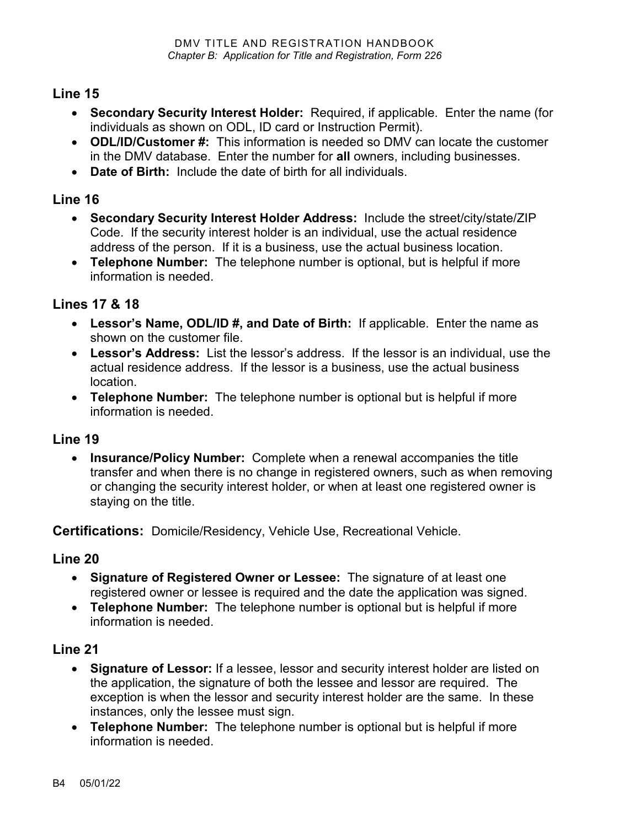### **Line 15**

- **Secondary Security Interest Holder:** Required, if applicable. Enter the name (for individuals as shown on ODL, ID card or Instruction Permit).
- **ODL/ID/Customer #:** This information is needed so DMV can locate the customer in the DMV database. Enter the number for **all** owners, including businesses.
- **Date of Birth:** Include the date of birth for all individuals.

# **Line 16**

- **Secondary Security Interest Holder Address:** Include the street/city/state/ZIP Code. If the security interest holder is an individual, use the actual residence address of the person. If it is a business, use the actual business location.
- **Telephone Number:** The telephone number is optional, but is helpful if more information is needed.

# **Lines 17 & 18**

- **Lessor's Name, ODL/ID #, and Date of Birth:** If applicable. Enter the name as shown on the customer file.
- **Lessor's Address:** List the lessor's address. If the lessor is an individual, use the actual residence address. If the lessor is a business, use the actual business location.
- **Telephone Number:** The telephone number is optional but is helpful if more information is needed.

# **Line 19**

• **Insurance/Policy Number:** Complete when a renewal accompanies the title transfer and when there is no change in registered owners, such as when removing or changing the security interest holder, or when at least one registered owner is staying on the title.

**Certifications:** Domicile/Residency, Vehicle Use, Recreational Vehicle.

# **Line 20**

- **Signature of Registered Owner or Lessee:** The signature of at least one registered owner or lessee is required and the date the application was signed.
- **Telephone Number:** The telephone number is optional but is helpful if more information is needed.

- **Signature of Lessor:** If a lessee, lessor and security interest holder are listed on the application, the signature of both the lessee and lessor are required. The exception is when the lessor and security interest holder are the same. In these instances, only the lessee must sign.
- **Telephone Number:** The telephone number is optional but is helpful if more information is needed.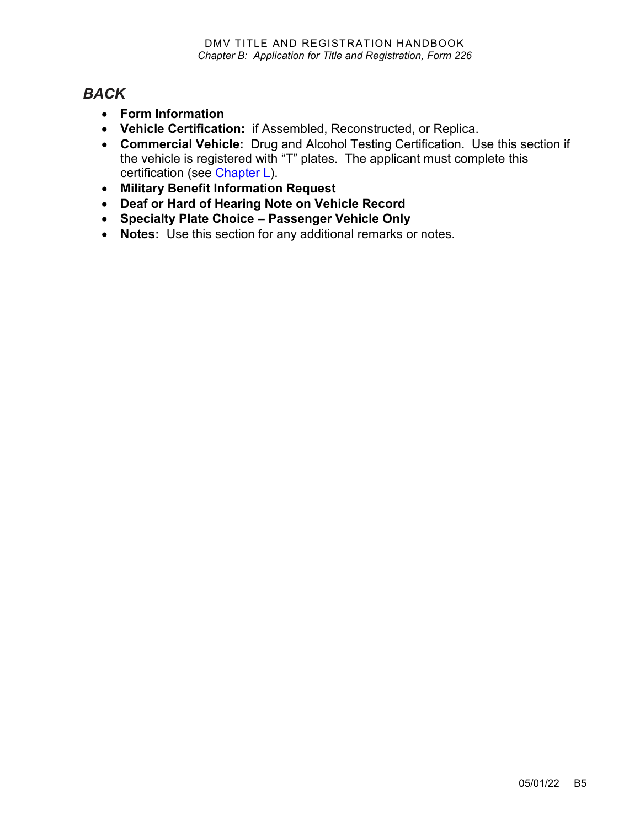# *BACK*

- **Form Information**
- **Vehicle Certification:** if Assembled, Reconstructed, or Replica.
- **Commercial Vehicle:** Drug and Alcohol Testing Certification. Use this section if the vehicle is registered with "T" plates. The applicant must complete this certification (see [Chapter L\)](https://www.oregon.gov/ODOT/DMV/docs/VTRH/Chapter_L.pdf).
- **Military Benefit Information Request**
- **Deaf or Hard of Hearing Note on Vehicle Record**
- **Specialty Plate Choice – Passenger Vehicle Only**
- **Notes:** Use this section for any additional remarks or notes.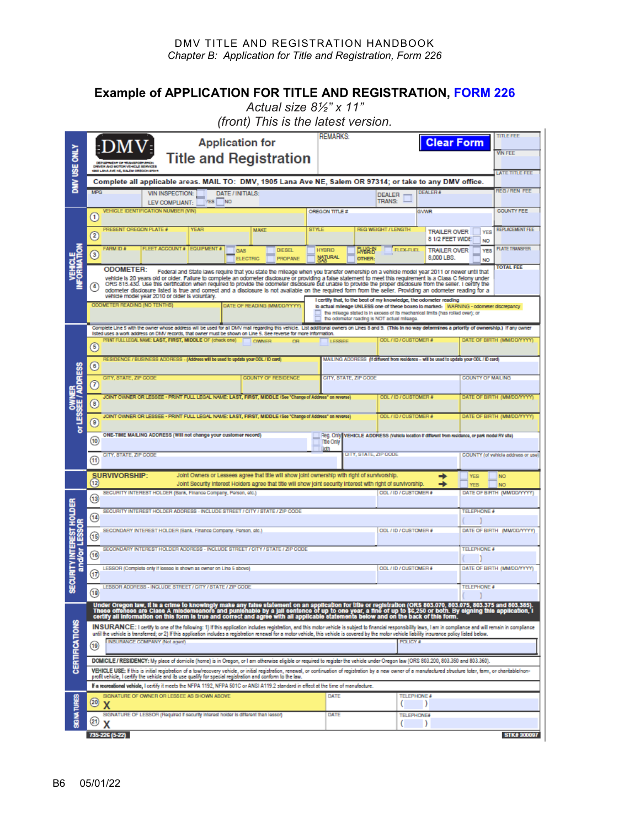#### DMV TITLE AND REGISTRATION HANDBOOK *Chapter B: Application for Title and Registration, Form 226*

#### <span id="page-5-0"></span>**Example of APPLICATION FOR TITLE AND REGISTRATION, [FORM 226](https://www.odot.state.or.us/forms/dmv/226fill.pdf)**

*Actual size 8½" x 11"*

*(front) This is the latest version.*

| DMV USE ONLY                               | <b>REMARKS:</b><br><b>Application for</b><br><b>Clear Form</b><br><b>Title and Registration</b>                                                                                                                                                                                                                                                                                                                                                                                                                                                                                                                                                                                                                                                                                                          |                               |                                                                                                         |                                                                                                                                                                                                                        |                                                                             |                                                                                                                                                                                                                                                                                                                                         |                                            |                                                |                                                                                           |                        |                                        |                            | <b>TITLE FEE</b><br><b>WIN FEE</b> |  |
|--------------------------------------------|----------------------------------------------------------------------------------------------------------------------------------------------------------------------------------------------------------------------------------------------------------------------------------------------------------------------------------------------------------------------------------------------------------------------------------------------------------------------------------------------------------------------------------------------------------------------------------------------------------------------------------------------------------------------------------------------------------------------------------------------------------------------------------------------------------|-------------------------------|---------------------------------------------------------------------------------------------------------|------------------------------------------------------------------------------------------------------------------------------------------------------------------------------------------------------------------------|-----------------------------------------------------------------------------|-----------------------------------------------------------------------------------------------------------------------------------------------------------------------------------------------------------------------------------------------------------------------------------------------------------------------------------------|--------------------------------------------|------------------------------------------------|-------------------------------------------------------------------------------------------|------------------------|----------------------------------------|----------------------------|------------------------------------|--|
|                                            | DRIVER AND MOTOR VEHICLE SERVICES<br>GOS LANA AVE NE, SALEM OREGON 973<br><b>LATE TITLE FEE</b>                                                                                                                                                                                                                                                                                                                                                                                                                                                                                                                                                                                                                                                                                                          |                               |                                                                                                         |                                                                                                                                                                                                                        |                                                                             |                                                                                                                                                                                                                                                                                                                                         |                                            |                                                |                                                                                           |                        |                                        |                            |                                    |  |
|                                            | Complete all applicable areas. MAIL TO: DMV, 1905 Lana Ave NE, Salem OR 97314; or take to any DMV office.<br><b>REG/REN FEE</b><br><b>MPG</b><br><b>DEALER</b><br><b>DATE/INITIALS:</b><br><b>VIN INSPECTION:</b><br><b>DEALER</b>                                                                                                                                                                                                                                                                                                                                                                                                                                                                                                                                                                       |                               |                                                                                                         |                                                                                                                                                                                                                        |                                                                             |                                                                                                                                                                                                                                                                                                                                         |                                            |                                                |                                                                                           |                        |                                        |                            |                                    |  |
|                                            | <b>NO</b><br>YES.<br>LEV COMPLIANT:<br><b>VEHICLE IDENTIFICATION NUMBER (VIN)</b>                                                                                                                                                                                                                                                                                                                                                                                                                                                                                                                                                                                                                                                                                                                        |                               |                                                                                                         |                                                                                                                                                                                                                        |                                                                             |                                                                                                                                                                                                                                                                                                                                         |                                            | <b>TRANS:</b><br>OREGON TITLE #<br><b>GWWR</b> |                                                                                           |                        |                                        |                            | <b>COUNTY FEE</b>                  |  |
| <b>VEHICLE</b><br>CORMATION                | $\left( 1\right)$                                                                                                                                                                                                                                                                                                                                                                                                                                                                                                                                                                                                                                                                                                                                                                                        | <b>PRESENT OREGON PLATE #</b> |                                                                                                         | YEAR                                                                                                                                                                                                                   |                                                                             | <b>MAKE</b>                                                                                                                                                                                                                                                                                                                             | <b>STYLE</b><br><b>REG WEIGHT / LENGTH</b> |                                                |                                                                                           |                        |                                        |                            | <b>REPLACEMENT FEE</b>             |  |
|                                            | $\left( 2\right)$                                                                                                                                                                                                                                                                                                                                                                                                                                                                                                                                                                                                                                                                                                                                                                                        |                               |                                                                                                         |                                                                                                                                                                                                                        |                                                                             |                                                                                                                                                                                                                                                                                                                                         |                                            |                                                |                                                                                           |                        | <b>TRAILER OVER</b><br>8 1/2 FEET WIDE | <b>YES</b><br>NO           |                                    |  |
|                                            | $\circ$                                                                                                                                                                                                                                                                                                                                                                                                                                                                                                                                                                                                                                                                                                                                                                                                  | FARM ID #                     | FLEET ACCOUNT # EQUIPMENT #                                                                             |                                                                                                                                                                                                                        | GAS<br><b>ELECTRIC</b>                                                      | <b>DIESEL</b><br><b>PROPANE</b>                                                                                                                                                                                                                                                                                                         | <b>HYBRID</b><br><b>NATURAL</b>            |                                                | <b>FLEX-FUEL</b><br><b>EMBRID</b><br>OTHER:                                               |                        | <b>TRAILER OVER</b><br>8,000 LBS.      | <b>YES</b><br>NO           | <b>PLATE TRANSFER</b>              |  |
|                                            | <b>TOTAL FEE</b><br><b>ODOMETER:</b><br>Federal and State laws require that you state the mileage when you transfer ownership on a vehicle model year 2011 or newer until that<br>vehicle is 20 years old or older. Fallure to complete an odometer disclosure or providing a false statement to meet this requirement is a Class C felony under<br>ORS 815.430. Use this certification when required to provide the odometer disclosure but unable to provide the proper disclosure from the seller. I certify the<br>odometer disclosure listed is true and correct and a disclosure is not available on the required form from the seller. Providing an odometer reading for a<br>vehicle model year 2010 or older is voluntary.<br>I certify that, to the beot of my knowledge, the odometer reading |                               |                                                                                                         |                                                                                                                                                                                                                        |                                                                             |                                                                                                                                                                                                                                                                                                                                         |                                            |                                                |                                                                                           |                        |                                        |                            |                                    |  |
|                                            |                                                                                                                                                                                                                                                                                                                                                                                                                                                                                                                                                                                                                                                                                                                                                                                                          | ODOMETER READING (NO TENTHS)  |                                                                                                         | lo actual mileage UNLESS one of these boxes lo marked: WARNING - odometer discrepancy<br>the mileage stated is in excess of its mechanical limits (has rolled over); or<br>the odometer reading is NOT actual mileage. |                                                                             |                                                                                                                                                                                                                                                                                                                                         |                                            |                                                |                                                                                           |                        |                                        |                            |                                    |  |
| ov Lessee / Address<br>or Lessee / Address |                                                                                                                                                                                                                                                                                                                                                                                                                                                                                                                                                                                                                                                                                                                                                                                                          |                               |                                                                                                         |                                                                                                                                                                                                                        |                                                                             | Complete Line 5 with the owner whose address will be used for all DMV mall regarding this vehicle. List additional owners on Lines 8 and 9. (This in no way determines a priority of ownership.) If any owner<br>listed uses a work address on DMV records, that owner must be shown on Line 5. See reverse for more information.<br>ne |                                            |                                                |                                                                                           |                        |                                        |                            |                                    |  |
|                                            | INT FULL LEGAL NAME: LAST, FIRST, MIDDLE OF (check one)<br>OWNER<br>(5)                                                                                                                                                                                                                                                                                                                                                                                                                                                                                                                                                                                                                                                                                                                                  |                               |                                                                                                         |                                                                                                                                                                                                                        |                                                                             |                                                                                                                                                                                                                                                                                                                                         | <b>LESSEE</b>                              |                                                | ODL / ID / CUSTOMER #                                                                     |                        |                                        | DATE OF BIRTH (MM/DD/YYYY) |                                    |  |
|                                            | $\left( 6\right)$                                                                                                                                                                                                                                                                                                                                                                                                                                                                                                                                                                                                                                                                                                                                                                                        |                               | RESIDENCE / BUSINESS ADDRESS - (Address will be used to update your ODL / ID card)                      |                                                                                                                                                                                                                        |                                                                             |                                                                                                                                                                                                                                                                                                                                         |                                            |                                                | MAILING ADDRESS (if different from residence - will be used to update your ODL / ID card) |                        |                                        |                            |                                    |  |
|                                            | (7)                                                                                                                                                                                                                                                                                                                                                                                                                                                                                                                                                                                                                                                                                                                                                                                                      | CITY, STATE, ZIP CODE         |                                                                                                         | <b>COUNTY OF RESIDENCE</b>                                                                                                                                                                                             | CITY, STATE, ZIP CODE                                                       |                                                                                                                                                                                                                                                                                                                                         |                                            |                                                |                                                                                           |                        | <b>COUNTY OF MAILING</b>               |                            |                                    |  |
|                                            | JOINT OWNER OR LESSEE - PRINT FULL LEGAL NAME: LAST, FIRST, MIDDLE (See "Change of Address" on reverse)<br>ODL / ID / CUSTOMER #<br>$\circled{6}$                                                                                                                                                                                                                                                                                                                                                                                                                                                                                                                                                                                                                                                        |                               |                                                                                                         |                                                                                                                                                                                                                        |                                                                             |                                                                                                                                                                                                                                                                                                                                         |                                            |                                                |                                                                                           |                        |                                        | DATE OF BIRTH (MM/DD/YYYY) |                                    |  |
|                                            |                                                                                                                                                                                                                                                                                                                                                                                                                                                                                                                                                                                                                                                                                                                                                                                                          |                               | JOINT OWNER OR LESSEE - PRINT FULL LEGAL NAME: LAST, FIRST, MIDDLE (See "Change of Address" on reverse) |                                                                                                                                                                                                                        | ODL / ID / CUSTOMER #                                                       |                                                                                                                                                                                                                                                                                                                                         |                                            |                                                | DATE OF BIRTH (MM/DD/YYYY)                                                                |                        |                                        |                            |                                    |  |
|                                            | 9)<br>ONE-TIME MAILING ADDRESS (Will not change your customer record)<br>Reg. Only VEHICLE ADDRESS (Vehicle location if different from residence, or park model RV site)                                                                                                                                                                                                                                                                                                                                                                                                                                                                                                                                                                                                                                 |                               |                                                                                                         |                                                                                                                                                                                                                        |                                                                             |                                                                                                                                                                                                                                                                                                                                         |                                            |                                                |                                                                                           |                        |                                        |                            |                                    |  |
|                                            | (10)                                                                                                                                                                                                                                                                                                                                                                                                                                                                                                                                                                                                                                                                                                                                                                                                     | CITY, STATE, ZIP CODE         |                                                                                                         |                                                                                                                                                                                                                        |                                                                             |                                                                                                                                                                                                                                                                                                                                         | <b>Ttle Only</b><br>Both                   | CITY, STATE, ZIP CODE                          |                                                                                           |                        |                                        |                            | COUNTY (of vehicle address or use) |  |
|                                            | (11)                                                                                                                                                                                                                                                                                                                                                                                                                                                                                                                                                                                                                                                                                                                                                                                                     |                               |                                                                                                         |                                                                                                                                                                                                                        |                                                                             |                                                                                                                                                                                                                                                                                                                                         |                                            |                                                |                                                                                           |                        |                                        |                            |                                    |  |
|                                            | <b>SURVIVORSHIP:</b><br>Joint Owners or Lessees agree that title will show joint ownership with right of survivorship.<br><b>YES</b><br>(12)<br>Joint Security Interest Holders agree that title will show joint security Interest with right of survivorship<br><b>YES</b>                                                                                                                                                                                                                                                                                                                                                                                                                                                                                                                              |                               |                                                                                                         |                                                                                                                                                                                                                        |                                                                             |                                                                                                                                                                                                                                                                                                                                         |                                            |                                                |                                                                                           | <b>NO</b><br><b>NO</b> |                                        |                            |                                    |  |
| EST HOLDER                                 | SECURITY INTEREST HOLDER (Bank, Finance Company, Person, etc.)<br>ODL/ID/CUSTOMER#<br>(13)                                                                                                                                                                                                                                                                                                                                                                                                                                                                                                                                                                                                                                                                                                               |                               |                                                                                                         |                                                                                                                                                                                                                        |                                                                             |                                                                                                                                                                                                                                                                                                                                         |                                            |                                                |                                                                                           |                        |                                        | DATE OF BIRTH (MM/DD/YYYY) |                                    |  |
|                                            | (14)                                                                                                                                                                                                                                                                                                                                                                                                                                                                                                                                                                                                                                                                                                                                                                                                     |                               |                                                                                                         |                                                                                                                                                                                                                        | SECURITY INTEREST HOLDER ADDRESS - INCLUDE STREET / CITY / STATE / ZIP CODE |                                                                                                                                                                                                                                                                                                                                         |                                            |                                                |                                                                                           | <b>TELEPHONE #</b>     |                                        |                            |                                    |  |
| ESSOR                                      |                                                                                                                                                                                                                                                                                                                                                                                                                                                                                                                                                                                                                                                                                                                                                                                                          |                               | SECONDARY INTEREST HOLDER (Bank, Finance Company, Person, etc.)                                         |                                                                                                                                                                                                                        |                                                                             |                                                                                                                                                                                                                                                                                                                                         |                                            |                                                | ODL / ID / CUSTOMER #                                                                     |                        |                                        | DATE OF BIRTH (MM/DD/YYYY) |                                    |  |
| ŏ                                          | (15)<br>SECONDARY INTEREST HOLDER ADDRESS - INCLUDE STREET / CITY / STATE / ZIP CODE                                                                                                                                                                                                                                                                                                                                                                                                                                                                                                                                                                                                                                                                                                                     |                               |                                                                                                         |                                                                                                                                                                                                                        |                                                                             |                                                                                                                                                                                                                                                                                                                                         |                                            |                                                |                                                                                           |                        | <b>TELEPHONE #</b>                     |                            |                                    |  |
| <b>SEQURITY INTER</b>                      | (16)                                                                                                                                                                                                                                                                                                                                                                                                                                                                                                                                                                                                                                                                                                                                                                                                     |                               | LESSOR (Complete only if lessee is shown as owner on Line 5 above)                                      |                                                                                                                                                                                                                        |                                                                             |                                                                                                                                                                                                                                                                                                                                         |                                            |                                                |                                                                                           | ODL / ID / CUSTOMER #  |                                        |                            | DATE OF BIRTH (MM/DD/YYYY)         |  |
|                                            | (17                                                                                                                                                                                                                                                                                                                                                                                                                                                                                                                                                                                                                                                                                                                                                                                                      |                               |                                                                                                         |                                                                                                                                                                                                                        |                                                                             |                                                                                                                                                                                                                                                                                                                                         |                                            |                                                |                                                                                           |                        |                                        |                            |                                    |  |
|                                            | (18)                                                                                                                                                                                                                                                                                                                                                                                                                                                                                                                                                                                                                                                                                                                                                                                                     |                               | LESSOR ADDRESS - INCLUDE STREET / CITY / STATE / ZIP CODE                                               |                                                                                                                                                                                                                        |                                                                             |                                                                                                                                                                                                                                                                                                                                         |                                            |                                                |                                                                                           |                        |                                        | TELEPHONE #                |                                    |  |
| <b>CERTIFICATIONS</b>                      | Under Oregon law, it is a crime to knowingly make any false statement on an application for title or registration (ORS 803.070, 803.075, 803.075, 803.375 and 803.385).<br>These offenses are Class A misdemeanors and punishable<br>INSURANCE: I certify to one of the following: 1) If this application includes registration, and this motor vehicle is subject to financial responsibility laws. I am in compliance and will remain in compliance<br>until the vehicle is transferred; or 2) If this application includes a registration renewal for a motor vehicle, this vehicle is covered by the motor vehicle liability insurance policy listed below.<br>INSURANCE COMPANY (Not again)<br>(19)                                                                                                 |                               |                                                                                                         |                                                                                                                                                                                                                        |                                                                             |                                                                                                                                                                                                                                                                                                                                         |                                            |                                                |                                                                                           |                        |                                        |                            |                                    |  |
|                                            |                                                                                                                                                                                                                                                                                                                                                                                                                                                                                                                                                                                                                                                                                                                                                                                                          |                               |                                                                                                         |                                                                                                                                                                                                                        |                                                                             | DOMICILE / RESIDENCY: My place of domicile (home) is in Oregon, or I am otherwise eligible or required to register the vehicle under Oregon law (ORS 803.200, 803.350 and 803.360).                                                                                                                                                     |                                            |                                                |                                                                                           |                        |                                        |                            |                                    |  |
|                                            | VEHICLE USE: If this is initial registration of a tow/recovery vehicle, or initial registration, renewal, or continuation of registration by a new owner of a manufactured structure toler, farm, or charitable/non-<br>, profit vehicle, I certify the vehicle and its use qualify for special registration and conform to the law.                                                                                                                                                                                                                                                                                                                                                                                                                                                                     |                               |                                                                                                         |                                                                                                                                                                                                                        |                                                                             |                                                                                                                                                                                                                                                                                                                                         |                                            |                                                |                                                                                           |                        |                                        |                            |                                    |  |
|                                            |                                                                                                                                                                                                                                                                                                                                                                                                                                                                                                                                                                                                                                                                                                                                                                                                          |                               | SIGNATURE OF OWNER OR LESSEE AS SHOWN ABOVE                                                             |                                                                                                                                                                                                                        |                                                                             | If a recreational vehicle, I certify it meets the NFPA 1192, NFPA 501C or ANSI A119.2 standard in effect at the time of manufacture.                                                                                                                                                                                                    | DATE                                       |                                                |                                                                                           | TELEPHONE #            |                                        |                            |                                    |  |
| <b>SIG NA TURES</b>                        | (20)                                                                                                                                                                                                                                                                                                                                                                                                                                                                                                                                                                                                                                                                                                                                                                                                     | X                             |                                                                                                         | DATE                                                                                                                                                                                                                   |                                                                             |                                                                                                                                                                                                                                                                                                                                         | )                                          |                                                |                                                                                           |                        |                                        |                            |                                    |  |
|                                            | SIGNATURE OF LESSOR (Required if security interest holder is different than lessor)<br>TELEPHONE#<br>$\overline{\mathbf{c}}$<br>x<br>)                                                                                                                                                                                                                                                                                                                                                                                                                                                                                                                                                                                                                                                                   |                               |                                                                                                         |                                                                                                                                                                                                                        |                                                                             |                                                                                                                                                                                                                                                                                                                                         |                                            |                                                |                                                                                           |                        |                                        |                            |                                    |  |
|                                            |                                                                                                                                                                                                                                                                                                                                                                                                                                                                                                                                                                                                                                                                                                                                                                                                          | 735-226 (5-22)                |                                                                                                         |                                                                                                                                                                                                                        |                                                                             |                                                                                                                                                                                                                                                                                                                                         |                                            |                                                |                                                                                           |                        |                                        |                            | STK#300097                         |  |